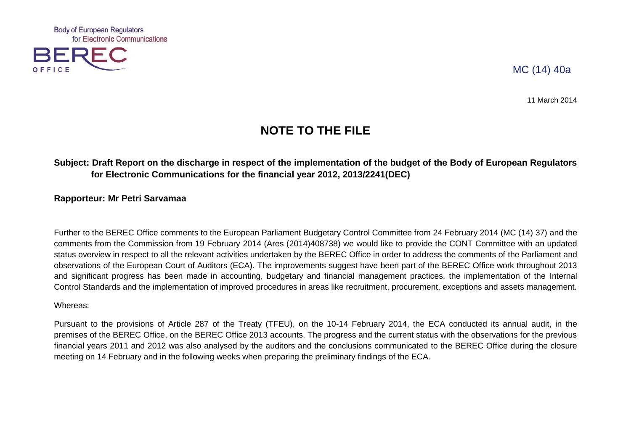

# MC (14) 40a

11 March 2014

# **NOTE TO THE FILE**

# **Subject: Draft Report on the discharge in respect of the implementation of the budget of the Body of European Regulators for Electronic Communications for the financial year 2012, 2013/2241(DEC)**

# **Rapporteur: Mr Petri Sarvamaa**

Further to the BEREC Office comments to the European Parliament Budgetary Control Committee from 24 February 2014 (MC (14) 37) and the comments from the Commission from 19 February 2014 (Ares (2014)408738) we would like to provide the CONT Committee with an updated status overview in respect to all the relevant activities undertaken by the BEREC Office in order to address the comments of the Parliament and observations of the European Court of Auditors (ECA). The improvements suggest have been part of the BEREC Office work throughout 2013 and significant progress has been made in accounting, budgetary and financial management practices, the implementation of the Internal Control Standards and the implementation of improved procedures in areas like recruitment, procurement, exceptions and assets management.

#### Whereas:

Pursuant to the provisions of Article 287 of the Treaty (TFEU), on the 10-14 February 2014, the ECA conducted its annual audit, in the premises of the BEREC Office, on the BEREC Office 2013 accounts. The progress and the current status with the observations for the previous financial years 2011 and 2012 was also analysed by the auditors and the conclusions communicated to the BEREC Office during the closure meeting on 14 February and in the following weeks when preparing the preliminary findings of the ECA.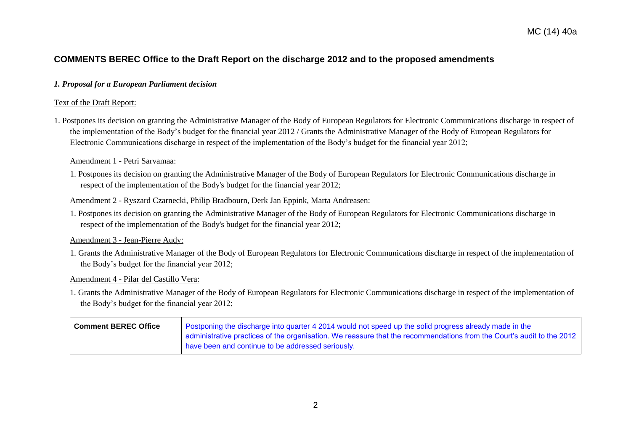# **COMMENTS BEREC Office to the Draft Report on the discharge 2012 and to the proposed amendments**

#### *1. Proposal for a European Parliament decision*

#### Text of the Draft Report:

1. Postpones its decision on granting the Administrative Manager of the Body of European Regulators for Electronic Communications discharge in respect of the implementation of the Body's budget for the financial year 2012 / Grants the Administrative Manager of the Body of European Regulators for Electronic Communications discharge in respect of the implementation of the Body's budget for the financial year 2012;

#### Amendment 1 - Petri Sarvamaa:

1. Postpones its decision on granting the Administrative Manager of the Body of European Regulators for Electronic Communications discharge in respect of the implementation of the Body's budget for the financial year 2012;

#### Amendment 2 - Ryszard Czarnecki, Philip Bradbourn, Derk Jan Eppink, Marta Andreasen:

1. Postpones its decision on granting the Administrative Manager of the Body of European Regulators for Electronic Communications discharge in respect of the implementation of the Body's budget for the financial year 2012;

#### Amendment 3 - Jean-Pierre Audy:

1. Grants the Administrative Manager of the Body of European Regulators for Electronic Communications discharge in respect of the implementation of the Body's budget for the financial year 2012;

#### Amendment 4 - Pilar del Castillo Vera:

1. Grants the Administrative Manager of the Body of European Regulators for Electronic Communications discharge in respect of the implementation of the Body's budget for the financial year 2012;

| <b>Comment BEREC Office</b> | Postponing the discharge into quarter 4 2014 would not speed up the solid progress already made in the                |
|-----------------------------|-----------------------------------------------------------------------------------------------------------------------|
|                             | administrative practices of the organisation. We reassure that the recommendations from the Court's audit to the 2012 |
|                             | have been and continue to be addressed seriously.                                                                     |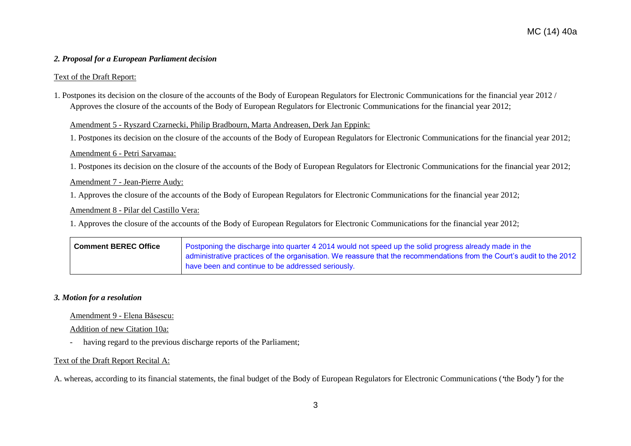#### *2. Proposal for a European Parliament decision*

#### Text of the Draft Report:

1. Postpones its decision on the closure of the accounts of the Body of European Regulators for Electronic Communications for the financial year 2012 / Approves the closure of the accounts of the Body of European Regulators for Electronic Communications for the financial year 2012;

#### Amendment 5 - Ryszard Czarnecki, Philip Bradbourn, Marta Andreasen, Derk Jan Eppink:

1. Postpones its decision on the closure of the accounts of the Body of European Regulators for Electronic Communications for the financial year 2012;

#### Amendment 6 - Petri Sarvamaa:

1. Postpones its decision on the closure of the accounts of the Body of European Regulators for Electronic Communications for the financial year 2012;

#### Amendment 7 - Jean-Pierre Audy:

1. Approves the closure of the accounts of the Body of European Regulators for Electronic Communications for the financial year 2012;

#### Amendment 8 - Pilar del Castillo Vera:

1. Approves the closure of the accounts of the Body of European Regulators for Electronic Communications for the financial year 2012;

| Comment BEREC Office | Postponing the discharge into quarter 4 2014 would not speed up the solid progress already made in the                |
|----------------------|-----------------------------------------------------------------------------------------------------------------------|
|                      | administrative practices of the organisation. We reassure that the recommendations from the Court's audit to the 2012 |
|                      | have been and continue to be addressed seriously.                                                                     |

#### *3. Motion for a resolution*

#### Amendment 9 - Elena Băsescu:

#### Addition of new Citation 10a:

- having regard to the previous discharge reports of the Parliament;

#### Text of the Draft Report Recital A:

A. whereas, according to its financial statements, the final budget of the Body of European Regulators for Electronic Communications (*'*the Body*'*) for the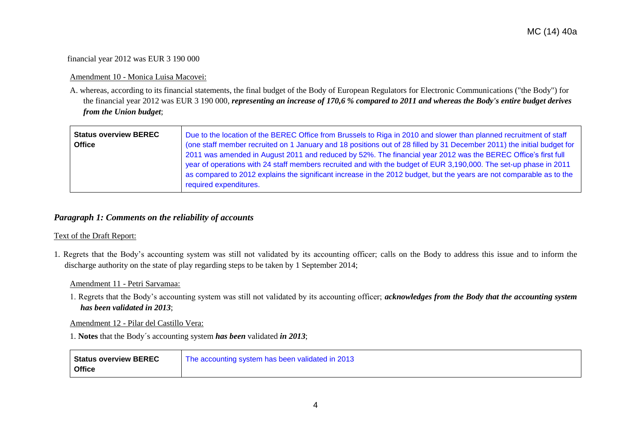#### financial year 2012 was EUR 3 190 000

#### Amendment 10 - Monica Luisa Macovei:

A. whereas, according to its financial statements, the final budget of the Body of European Regulators for Electronic Communications ("the Body") for the financial year 2012 was EUR 3 190 000, *representing an increase of 170,6 % compared to 2011 and whereas the Body's entire budget derives from the Union budget*;

| <b>Status overview BEREC</b><br><b>Office</b> | Due to the location of the BEREC Office from Brussels to Riga in 2010 and slower than planned recruitment of staff<br>(one staff member recruited on 1 January and 18 positions out of 28 filled by 31 December 2011) the initial budget for<br>2011 was amended in August 2011 and reduced by 52%. The financial year 2012 was the BEREC Office's first full<br>year of operations with 24 staff members recruited and with the budget of EUR 3,190,000. The set-up phase in 2011<br>as compared to 2012 explains the significant increase in the 2012 budget, but the years are not comparable as to the |
|-----------------------------------------------|------------------------------------------------------------------------------------------------------------------------------------------------------------------------------------------------------------------------------------------------------------------------------------------------------------------------------------------------------------------------------------------------------------------------------------------------------------------------------------------------------------------------------------------------------------------------------------------------------------|
|                                               | required expenditures.                                                                                                                                                                                                                                                                                                                                                                                                                                                                                                                                                                                     |

# *Paragraph 1: Comments on the reliability of accounts*

#### Text of the Draft Report:

1. Regrets that the Body's accounting system was still not validated by its accounting officer; calls on the Body to address this issue and to inform the discharge authority on the state of play regarding steps to be taken by 1 September 2014;

#### Amendment 11 - Petri Sarvamaa:

1. Regrets that the Body's accounting system was still not validated by its accounting officer; *acknowledges from the Body that the accounting system has been validated in 2013*;

Amendment 12 - Pilar del Castillo Vera:

1. **Notes** that the Body´s accounting system *has been* validated *in 2013*;

| Status overview BEREC | The accounting system has been validated in 2013 |
|-----------------------|--------------------------------------------------|
| <b>Office</b>         |                                                  |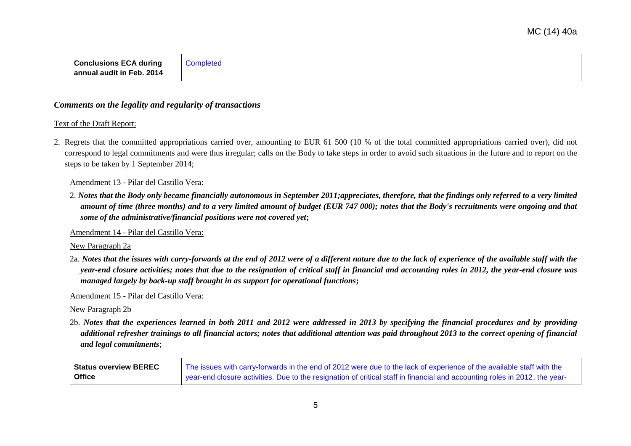| Conclusions ECA during   Completed |  |
|------------------------------------|--|
| annual audit in Feb. 2014          |  |

# *Comments on the legality and regularity of transactions*

#### Text of the Draft Report:

2. Regrets that the committed appropriations carried over, amounting to EUR 61 500 (10 % of the total committed appropriations carried over), did not correspond to legal commitments and were thus irregular; calls on the Body to take steps in order to avoid such situations in the future and to report on the steps to be taken by 1 September 2014;

#### Amendment 13 - Pilar del Castillo Vera:

2. *Notes that the Body only became financially autonomous in September 2011;appreciates, therefore, that the findings only referred to a very limited amount of time (three months) and to a very limited amount of budget (EUR 747 000); notes that the Body's recruitments were ongoing and that some of the administrative/financial positions were not covered yet***;**

Amendment 14 - Pilar del Castillo Vera:

#### New Paragraph 2a

2a. *Notes that the issues with carry-forwards at the end of 2012 were of a different nature due to the lack of experience of the available staff with the year-end closure activities; notes that due to the resignation of critical staff in financial and accounting roles in 2012, the year-end closure was managed largely by back-up staff brought in as support for operational functions***;**

Amendment 15 - Pilar del Castillo Vera:

#### New Paragraph 2b

2b. *Notes that the experiences learned in both 2011 and 2012 were addressed in 2013 by specifying the financial procedures and by providing additional refresher trainings to all financial actors; notes that additional attention was paid throughout 2013 to the correct opening of financial and legal commitments*;

| <b>Status overview BEREC</b> | The issues with carry-forwards in the end of 2012 were due to the lack of experience of the available staff with the       |
|------------------------------|----------------------------------------------------------------------------------------------------------------------------|
| Office                       | year-end closure activities. Due to the resignation of critical staff in financial and accounting roles in 2012, the year- |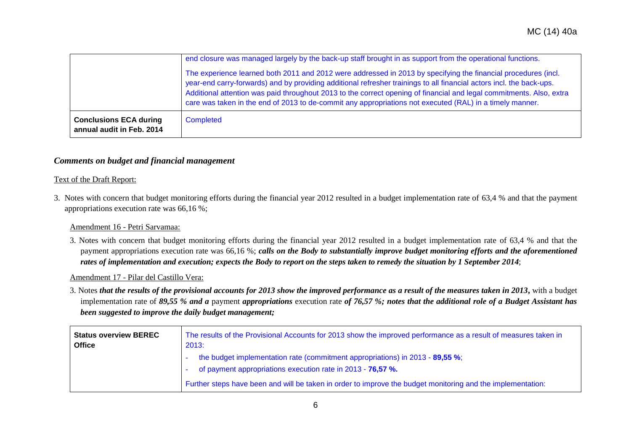|                                                            | end closure was managed largely by the back-up staff brought in as support from the operational functions.<br>The experience learned both 2011 and 2012 were addressed in 2013 by specifying the financial procedures (incl.<br>year-end carry-forwards) and by providing additional refresher trainings to all financial actors incl. the back-ups.<br>Additional attention was paid throughout 2013 to the correct opening of financial and legal commitments. Also, extra<br>care was taken in the end of 2013 to de-commit any appropriations not executed (RAL) in a timely manner. |
|------------------------------------------------------------|------------------------------------------------------------------------------------------------------------------------------------------------------------------------------------------------------------------------------------------------------------------------------------------------------------------------------------------------------------------------------------------------------------------------------------------------------------------------------------------------------------------------------------------------------------------------------------------|
| <b>Conclusions ECA during</b><br>annual audit in Feb. 2014 | <b>Completed</b>                                                                                                                                                                                                                                                                                                                                                                                                                                                                                                                                                                         |

# *Comments on budget and financial management*

#### Text of the Draft Report:

3. Notes with concern that budget monitoring efforts during the financial year 2012 resulted in a budget implementation rate of 63,4 % and that the payment appropriations execution rate was 66,16 %;

#### Amendment 16 - Petri Sarvamaa:

3. Notes with concern that budget monitoring efforts during the financial year 2012 resulted in a budget implementation rate of 63,4 % and that the payment appropriations execution rate was 66,16 %; *calls on the Body to substantially improve budget monitoring efforts and the aforementioned rates of implementation and execution; expects the Body to report on the steps taken to remedy the situation by 1 September 2014*;

#### Amendment 17 - Pilar del Castillo Vera:

3. Notes *that the results of the provisional accounts for 2013 show the improved performance as a result of the measures taken in 2013***,** with a budget implementation rate of *89,55 % and a* payment *appropriations* execution rate *of 76,57 %; notes that the additional role of a Budget Assistant has been suggested to improve the daily budget management;*

| <b>Status overview BEREC</b><br><b>Office</b> | The results of the Provisional Accounts for 2013 show the improved performance as a result of measures taken in<br>2013: |
|-----------------------------------------------|--------------------------------------------------------------------------------------------------------------------------|
|                                               | the budget implementation rate (commitment appropriations) in 2013 - 89,55 %;                                            |
|                                               | of payment appropriations execution rate in 2013 - 76,57 %.                                                              |
|                                               | Further steps have been and will be taken in order to improve the budget monitoring and the implementation:              |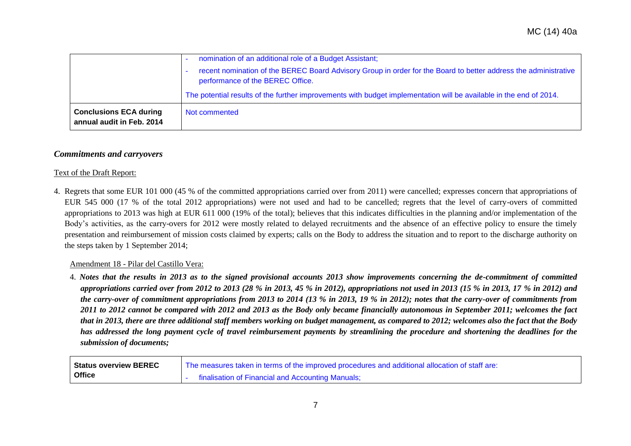|                                                            | nomination of an additional role of a Budget Assistant;<br>recent nomination of the BEREC Board Advisory Group in order for the Board to better address the administrative<br>performance of the BEREC Office. |
|------------------------------------------------------------|----------------------------------------------------------------------------------------------------------------------------------------------------------------------------------------------------------------|
|                                                            | The potential results of the further improvements with budget implementation will be available in the end of 2014.                                                                                             |
| <b>Conclusions ECA during</b><br>annual audit in Feb. 2014 | Not commented                                                                                                                                                                                                  |

#### *Commitments and carryovers*

#### Text of the Draft Report:

4. Regrets that some EUR 101 000 (45 % of the committed appropriations carried over from 2011) were cancelled; expresses concern that appropriations of EUR 545 000 (17 % of the total 2012 appropriations) were not used and had to be cancelled; regrets that the level of carry-overs of committed appropriations to 2013 was high at EUR 611 000 (19% of the total); believes that this indicates difficulties in the planning and/or implementation of the Body's activities, as the carry-overs for 2012 were mostly related to delayed recruitments and the absence of an effective policy to ensure the timely presentation and reimbursement of mission costs claimed by experts; calls on the Body to address the situation and to report to the discharge authority on the steps taken by 1 September 2014;

# Amendment 18 - Pilar del Castillo Vera:

4. *Notes that the results in 2013 as to the signed provisional accounts 2013 show improvements concerning the de-commitment of committed appropriations carried over from 2012 to 2013 (28 % in 2013, 45 % in 2012), appropriations not used in 2013 (15 % in 2013, 17 % in 2012) and the carry-over of commitment appropriations from 2013 to 2014 (13 % in 2013, 19 % in 2012); notes that the carry-over of commitments from 2011 to 2012 cannot be compared with 2012 and 2013 as the Body only became financially autonomous in September 2011; welcomes the fact that in 2013, there are three additional staff members working on budget management, as compared to 2012; welcomes also the fact that the Body has addressed the long payment cycle of travel reimbursement payments by streamlining the procedure and shortening the deadlines for the submission of documents;*

| Status overview BEREC | The measures taken in terms of the improved procedures and additional allocation of staff are: |
|-----------------------|------------------------------------------------------------------------------------------------|
| Office                | finalisation of Financial and Accounting Manuals;                                              |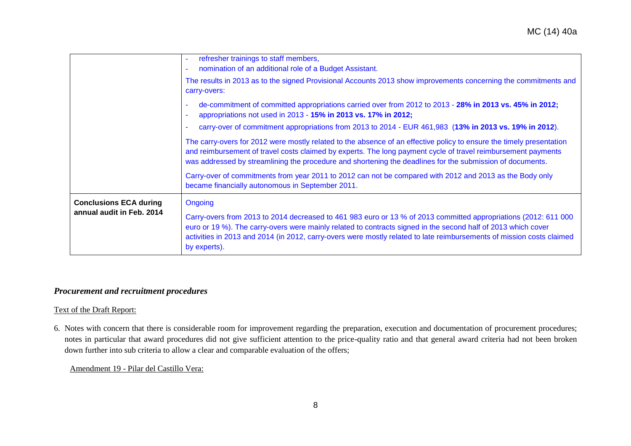| <b>Conclusions ECA during</b><br>annual audit in Feb. 2014 | Ongoing<br>Carry-overs from 2013 to 2014 decreased to 461 983 euro or 13 % of 2013 committed appropriations (2012: 611 000<br>euro or 19 %). The carry-overs were mainly related to contracts signed in the second half of 2013 which cover<br>activities in 2013 and 2014 (in 2012, carry-overs were mostly related to late reimbursements of mission costs claimed<br>by experts). |
|------------------------------------------------------------|--------------------------------------------------------------------------------------------------------------------------------------------------------------------------------------------------------------------------------------------------------------------------------------------------------------------------------------------------------------------------------------|
|                                                            | Carry-over of commitments from year 2011 to 2012 can not be compared with 2012 and 2013 as the Body only<br>became financially autonomous in September 2011.                                                                                                                                                                                                                         |
|                                                            | The carry-overs for 2012 were mostly related to the absence of an effective policy to ensure the timely presentation<br>and reimbursement of travel costs claimed by experts. The long payment cycle of travel reimbursement payments<br>was addressed by streamlining the procedure and shortening the deadlines for the submission of documents.                                   |
|                                                            | de-commitment of committed appropriations carried over from 2012 to 2013 - 28% in 2013 vs. 45% in 2012;<br>appropriations not used in 2013 - 15% in 2013 vs. 17% in 2012;<br>carry-over of commitment appropriations from 2013 to 2014 - EUR 461,983 (13% in 2013 vs. 19% in 2012).                                                                                                  |
|                                                            | The results in 2013 as to the signed Provisional Accounts 2013 show improvements concerning the commitments and<br>carry-overs:                                                                                                                                                                                                                                                      |
|                                                            | refresher trainings to staff members,<br>nomination of an additional role of a Budget Assistant.                                                                                                                                                                                                                                                                                     |

# *Procurement and recruitment procedures*

# Text of the Draft Report:

6. Notes with concern that there is considerable room for improvement regarding the preparation, execution and documentation of procurement procedures; notes in particular that award procedures did not give sufficient attention to the price-quality ratio and that general award criteria had not been broken down further into sub criteria to allow a clear and comparable evaluation of the offers;

Amendment 19 - Pilar del Castillo Vera: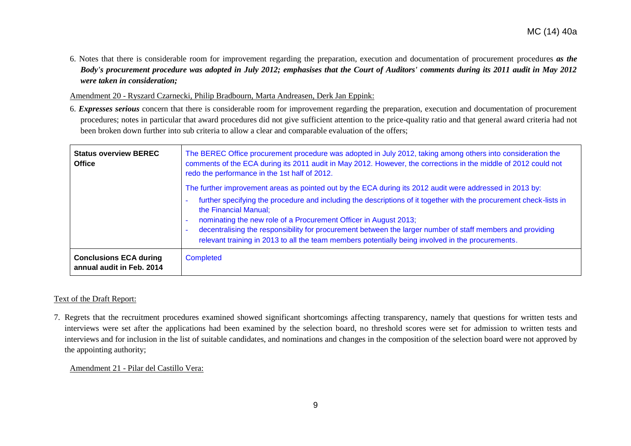6. Notes that there is considerable room for improvement regarding the preparation, execution and documentation of procurement procedures *as the Body's procurement procedure was adopted in July 2012; emphasises that the Court of Auditors' comments during its 2011 audit in May 2012 were taken in consideration;*

Amendment 20 - Ryszard Czarnecki, Philip Bradbourn, Marta Andreasen, Derk Jan Eppink:

6. *Expresses serious* concern that there is considerable room for improvement regarding the preparation, execution and documentation of procurement procedures; notes in particular that award procedures did not give sufficient attention to the price-quality ratio and that general award criteria had not been broken down further into sub criteria to allow a clear and comparable evaluation of the offers;

| <b>Status overview BEREC</b><br><b>Office</b>              | The BEREC Office procurement procedure was adopted in July 2012, taking among others into consideration the<br>comments of the ECA during its 2011 audit in May 2012. However, the corrections in the middle of 2012 could not<br>redo the performance in the 1st half of 2012.                                                                                                                                                    |
|------------------------------------------------------------|------------------------------------------------------------------------------------------------------------------------------------------------------------------------------------------------------------------------------------------------------------------------------------------------------------------------------------------------------------------------------------------------------------------------------------|
|                                                            | The further improvement areas as pointed out by the ECA during its 2012 audit were addressed in 2013 by:                                                                                                                                                                                                                                                                                                                           |
|                                                            | further specifying the procedure and including the descriptions of it together with the procurement check-lists in<br>the Financial Manual;<br>nominating the new role of a Procurement Officer in August 2013;<br>decentralising the responsibility for procurement between the larger number of staff members and providing<br>relevant training in 2013 to all the team members potentially being involved in the procurements. |
| <b>Conclusions ECA during</b><br>annual audit in Feb. 2014 | Completed                                                                                                                                                                                                                                                                                                                                                                                                                          |

# Text of the Draft Report:

7. Regrets that the recruitment procedures examined showed significant shortcomings affecting transparency, namely that questions for written tests and interviews were set after the applications had been examined by the selection board, no threshold scores were set for admission to written tests and interviews and for inclusion in the list of suitable candidates, and nominations and changes in the composition of the selection board were not approved by the appointing authority;

Amendment 21 - Pilar del Castillo Vera: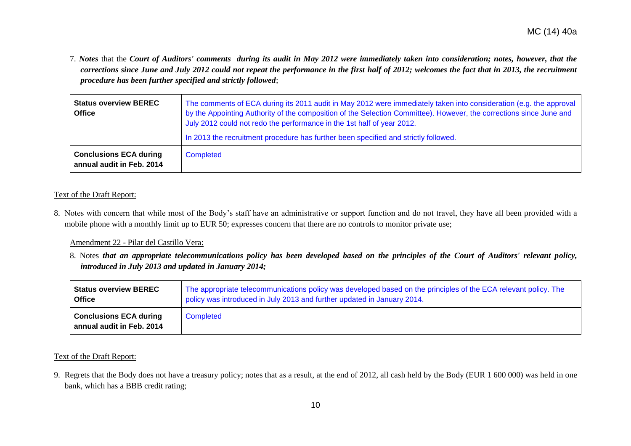7. *Notes* that the *Court of Auditors' comments during its audit in May 2012 were immediately taken into consideration; notes, however, that the corrections since June and July 2012 could not repeat the performance in the first half of 2012; welcomes the fact that in 2013, the recruitment procedure has been further specified and strictly followed*;

| <b>Status overview BEREC</b><br><b>Office</b>              | The comments of ECA during its 2011 audit in May 2012 were immediately taken into consideration (e.g. the approval<br>by the Appointing Authority of the composition of the Selection Committee). However, the corrections since June and<br>July 2012 could not redo the performance in the 1st half of year 2012.<br>In 2013 the recruitment procedure has further been specified and strictly followed. |
|------------------------------------------------------------|------------------------------------------------------------------------------------------------------------------------------------------------------------------------------------------------------------------------------------------------------------------------------------------------------------------------------------------------------------------------------------------------------------|
| <b>Conclusions ECA during</b><br>annual audit in Feb. 2014 | Completed                                                                                                                                                                                                                                                                                                                                                                                                  |

#### Text of the Draft Report:

8. Notes with concern that while most of the Body's staff have an administrative or support function and do not travel, they have all been provided with a mobile phone with a monthly limit up to EUR 50; expresses concern that there are no controls to monitor private use;

#### Amendment 22 - Pilar del Castillo Vera:

8. Notes *that an appropriate telecommunications policy has been developed based on the principles of the Court of Auditors' relevant policy, introduced in July 2013 and updated in January 2014;*

| ∣ Status overview BEREC ∶                                  | The appropriate telecommunications policy was developed based on the principles of the ECA relevant policy. The |
|------------------------------------------------------------|-----------------------------------------------------------------------------------------------------------------|
| <b>Office</b>                                              | policy was introduced in July 2013 and further updated in January 2014.                                         |
| <b>Conclusions ECA during</b><br>annual audit in Feb. 2014 | <b>Completed</b>                                                                                                |

#### Text of the Draft Report:

9. Regrets that the Body does not have a treasury policy; notes that as a result, at the end of 2012, all cash held by the Body (EUR 1 600 000) was held in one bank, which has a BBB credit rating;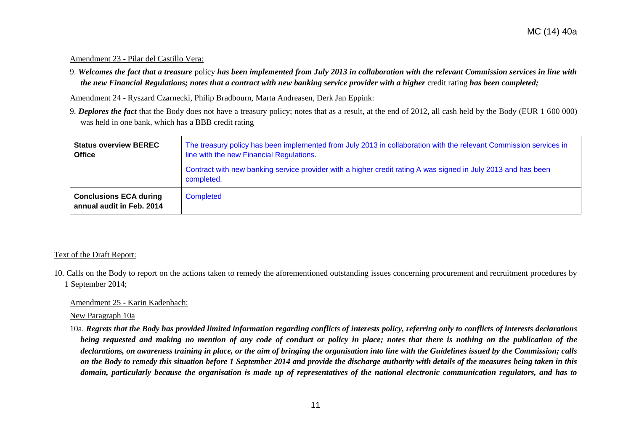#### Amendment 23 - Pilar del Castillo Vera:

9. *Welcomes the fact that a treasure* policy *has been implemented from July 2013 in collaboration with the relevant Commission services in line with the new Financial Regulations; notes that a contract with new banking service provider with a higher credit rating has been completed;* 

Amendment 24 - Ryszard Czarnecki, Philip Bradbourn, Marta Andreasen, Derk Jan Eppink:

9. *Deplores the fact* that the Body does not have a treasury policy; notes that as a result, at the end of 2012, all cash held by the Body (EUR 1 600 000) was held in one bank, which has a BBB credit rating

| <b>Status overview BEREC</b><br><b>Office</b>              | The treasury policy has been implemented from July 2013 in collaboration with the relevant Commission services in<br>line with the new Financial Regulations. |
|------------------------------------------------------------|---------------------------------------------------------------------------------------------------------------------------------------------------------------|
|                                                            | Contract with new banking service provider with a higher credit rating A was signed in July 2013 and has been<br>completed.                                   |
| <b>Conclusions ECA during</b><br>annual audit in Feb. 2014 | Completed                                                                                                                                                     |

#### Text of the Draft Report:

10. Calls on the Body to report on the actions taken to remedy the aforementioned outstanding issues concerning procurement and recruitment procedures by 1 September 2014;

#### Amendment 25 - Karin Kadenbach:

New Paragraph 10a

10a. *Regrets that the Body has provided limited information regarding conflicts of interests policy, referring only to conflicts of interests declarations being requested and making no mention of any code of conduct or policy in place; notes that there is nothing on the publication of the declarations, on awareness training in place, or the aim of bringing the organisation into line with the Guidelines issued by the Commission; calls on the Body to remedy this situation before 1 September 2014 and provide the discharge authority with details of the measures being taken in this domain, particularly because the organisation is made up of representatives of the national electronic communication regulators, and has to*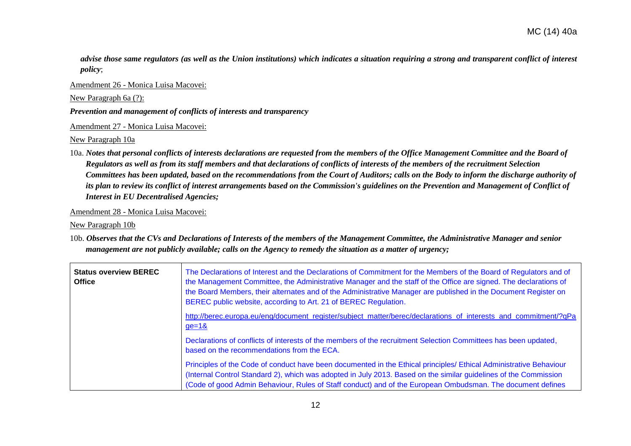*advise those same regulators (as well as the Union institutions) which indicates a situation requiring a strong and transparent conflict of interest policy*;

Amendment 26 - Monica Luisa Macovei:

New Paragraph 6a (?):

*Prevention and management of conflicts of interests and transparency*

Amendment 27 - Monica Luisa Macovei:

New Paragraph 10a

10a. *Notes that personal conflicts of interests declarations are requested from the members of the Office Management Committee and the Board of Regulators as well as from its staff members and that declarations of conflicts of interests of the members of the recruitment Selection Committees has been updated, based on the recommendations from the Court of Auditors; calls on the Body to inform the discharge authority of its plan to review its conflict of interest arrangements based on the Commission's guidelines on the Prevention and Management of Conflict of Interest in EU Decentralised Agencies;*

Amendment 28 - Monica Luisa Macovei:

New Paragraph 10b

10b. *Observes that the CVs and Declarations of Interests of the members of the Management Committee, the Administrative Manager and senior management are not publicly available; calls on the Agency to remedy the situation as a matter of urgency;*

| <b>Status overview BEREC</b><br><b>Office</b> | The Declarations of Interest and the Declarations of Commitment for the Members of the Board of Regulators and of<br>the Management Committee, the Administrative Manager and the staff of the Office are signed. The declarations of<br>the Board Members, their alternates and of the Administrative Manager are published in the Document Register on<br>BEREC public website, according to Art. 21 of BEREC Regulation. |
|-----------------------------------------------|-----------------------------------------------------------------------------------------------------------------------------------------------------------------------------------------------------------------------------------------------------------------------------------------------------------------------------------------------------------------------------------------------------------------------------|
|                                               | http://berec.europa.eu/eng/document_register/subject_matter/berec/declarations_of_interests_and_commitment/?qPa<br>$ge=18$                                                                                                                                                                                                                                                                                                  |
|                                               | Declarations of conflicts of interests of the members of the recruitment Selection Committees has been updated,<br>based on the recommendations from the ECA.                                                                                                                                                                                                                                                               |
|                                               | Principles of the Code of conduct have been documented in the Ethical principles/ Ethical Administrative Behaviour<br>(Internal Control Standard 2), which was adopted in July 2013. Based on the similar guidelines of the Commission<br>(Code of good Admin Behaviour, Rules of Staff conduct) and of the European Ombudsman. The document defines                                                                        |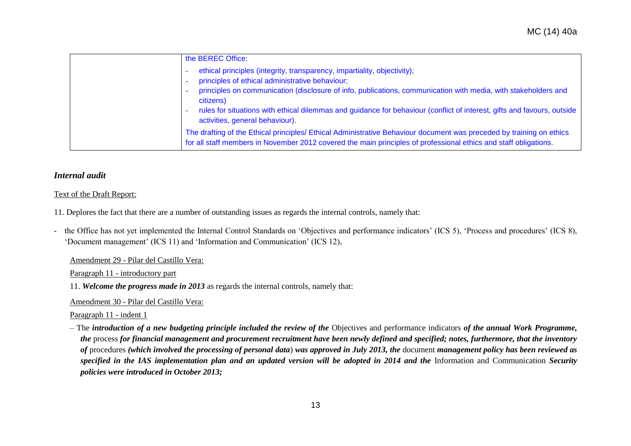| the BEREC Office:                                                                                                                                                                                                                                                                                                                                                                     |
|---------------------------------------------------------------------------------------------------------------------------------------------------------------------------------------------------------------------------------------------------------------------------------------------------------------------------------------------------------------------------------------|
| ethical principles (integrity, transparency, impartiality, objectivity);<br>principles of ethical administrative behaviour;<br>principles on communication (disclosure of info, publications, communication with media, with stakeholders and<br>citizens)<br>rules for situations with ethical dilemmas and guidance for behaviour (conflict of interest, gifts and favours, outside |
| activities, general behaviour).<br>The drafting of the Ethical principles/ Ethical Administrative Behaviour document was preceded by training on ethics                                                                                                                                                                                                                               |
| for all staff members in November 2012 covered the main principles of professional ethics and staff obligations.                                                                                                                                                                                                                                                                      |

#### *Internal audit*

#### Text of the Draft Report:

- 11. Deplores the fact that there are a number of outstanding issues as regards the internal controls, namely that:
- the Office has not yet implemented the Internal Control Standards on 'Objectives and performance indicators' (ICS 5), 'Process and procedures' (ICS 8), 'Document management' (ICS 11) and 'Information and Communication' (ICS 12),

Amendment 29 - Pilar del Castillo Vera:

Paragraph 11 - introductory part

11. *Welcome the progress made in 2013* as regards the internal controls, namely that:

Amendment 30 - Pilar del Castillo Vera:

Paragraph 11 - indent 1

– The *introduction of a new budgeting principle included the review of the* Objectives and performance indicators *of the annual Work Programme, the* process *for financial management and procurement recruitment have been newly defined and specified; notes, furthermore, that the inventory of* procedures *(which involved the processing of personal data*) *was approved in July 2013, the* document *management policy has been reviewed as specified in the IAS implementation plan and an updated version will be adopted in 2014 and the* Information and Communication *Security policies were introduced in October 2013;*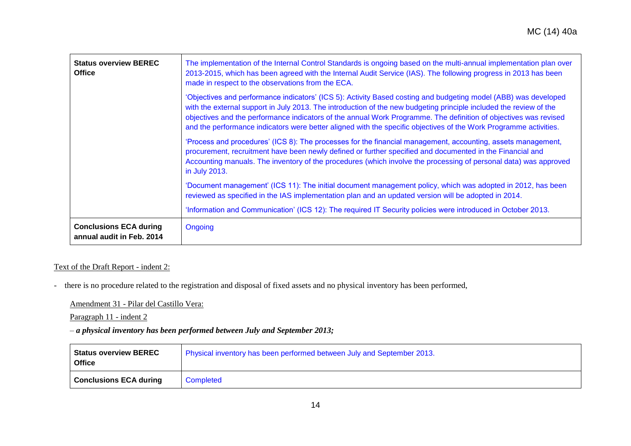| <b>Status overview BEREC</b><br><b>Office</b>              | The implementation of the Internal Control Standards is ongoing based on the multi-annual implementation plan over<br>2013-2015, which has been agreed with the Internal Audit Service (IAS). The following progress in 2013 has been<br>made in respect to the observations from the ECA.                                                                                                                                                                                     |
|------------------------------------------------------------|--------------------------------------------------------------------------------------------------------------------------------------------------------------------------------------------------------------------------------------------------------------------------------------------------------------------------------------------------------------------------------------------------------------------------------------------------------------------------------|
|                                                            | 'Objectives and performance indicators' (ICS 5): Activity Based costing and budgeting model (ABB) was developed<br>with the external support in July 2013. The introduction of the new budgeting principle included the review of the<br>objectives and the performance indicators of the annual Work Programme. The definition of objectives was revised<br>and the performance indicators were better aligned with the specific objectives of the Work Programme activities. |
|                                                            | 'Process and procedures' (ICS 8): The processes for the financial management, accounting, assets management,<br>procurement, recruitment have been newly defined or further specified and documented in the Financial and<br>Accounting manuals. The inventory of the procedures (which involve the processing of personal data) was approved<br>in July 2013.                                                                                                                 |
|                                                            | 'Document management' (ICS 11): The initial document management policy, which was adopted in 2012, has been<br>reviewed as specified in the IAS implementation plan and an updated version will be adopted in 2014.                                                                                                                                                                                                                                                            |
|                                                            | 'Information and Communication' (ICS 12): The required IT Security policies were introduced in October 2013.                                                                                                                                                                                                                                                                                                                                                                   |
| <b>Conclusions ECA during</b><br>annual audit in Feb. 2014 | Ongoing                                                                                                                                                                                                                                                                                                                                                                                                                                                                        |

Text of the Draft Report - indent 2:

- there is no procedure related to the registration and disposal of fixed assets and no physical inventory has been performed,

Amendment 31 - Pilar del Castillo Vera:

Paragraph 11 - indent 2

– *a physical inventory has been performed between July and September 2013;*

| <b>Status overview BEREC</b><br><b>Office</b> | Physical inventory has been performed between July and September 2013. |
|-----------------------------------------------|------------------------------------------------------------------------|
| <b>Conclusions ECA during</b>                 | Completed                                                              |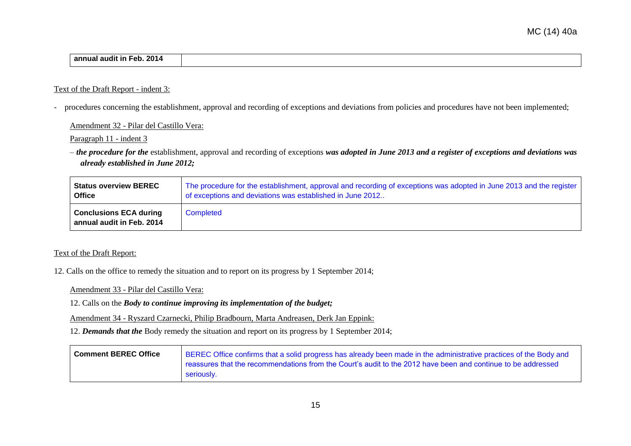| Feb. 2014<br><br>annual audit in |  |
|----------------------------------|--|

#### Text of the Draft Report - indent 3:

- procedures concerning the establishment, approval and recording of exceptions and deviations from policies and procedures have not been implemented;

Amendment 32 - Pilar del Castillo Vera:

Paragraph 11 - indent 3

– *the procedure for the* establishment, approval and recording of exceptions *was adopted in June 2013 and a register of exceptions and deviations was already established in June 2012;*

| <b>Status overview BEREC</b>                               | The procedure for the establishment, approval and recording of exceptions was adopted in June 2013 and the register |
|------------------------------------------------------------|---------------------------------------------------------------------------------------------------------------------|
| <b>Office</b>                                              | of exceptions and deviations was established in June 2012                                                           |
| <b>Conclusions ECA during</b><br>annual audit in Feb. 2014 | Completed                                                                                                           |

#### Text of the Draft Report:

12. Calls on the office to remedy the situation and to report on its progress by 1 September 2014;

Amendment 33 - Pilar del Castillo Vera:

12. Calls on the *Body to continue improving its implementation of the budget;*

Amendment 34 - Ryszard Czarnecki, Philip Bradbourn, Marta Andreasen, Derk Jan Eppink:

12. *Demands that the* Body remedy the situation and report on its progress by 1 September 2014;

| <b>Comment BEREC Office</b> | BEREC Office confirms that a solid progress has already been made in the administrative practices of the Body and |
|-----------------------------|-------------------------------------------------------------------------------------------------------------------|
|                             | reassures that the recommendations from the Court's audit to the 2012 have been and continue to be addressed      |
|                             | seriously.                                                                                                        |